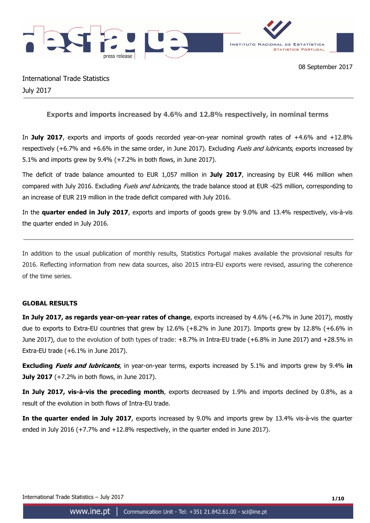



International Trade Statistics July 2017

**Exports and imports increased by 4.6% and 12.8% respectively, in nominal terms** 

In **July 2017**, exports and imports of goods recorded year-on-year nominal growth rates of +4.6% and +12.8% respectively (+6.7% and +6.6% in the same order, in June 2017). Excluding *Fuels and lubricants*, exports increased by 5.1% and imports grew by 9.4% (+7.2% in both flows, in June 2017).

The deficit of trade balance amounted to EUR 1,057 million in **July 2017**, increasing by EUR 446 million when compared with July 2016. Excluding *Fuels and lubricants*, the trade balance stood at EUR -625 million, corresponding to an increase of EUR 219 million in the trade deficit compared with July 2016.

In the **quarter ended in July 2017**, exports and imports of goods grew by 9.0% and 13.4% respectively, vis-à-vis the quarter ended in July 2016.

In addition to the usual publication of monthly results, Statistics Portugal makes available the provisional results for 2016. Reflecting information from new data sources, also 2015 intra-EU exports were revised, assuring the coherence of the time series.

## **GLOBAL RESULTS**

**In July 2017, as regards year-on-year rates of change**, exports increased by 4.6% (+6.7% in June 2017), mostly due to exports to Extra-EU countries that grew by 12.6% (+8.2% in June 2017). Imports grew by 12.8% (+6.6% in June 2017), due to the evolution of both types of trade: +8.7% in Intra-EU trade (+6.8% in June 2017) and +28.5% in Extra-EU trade (+6.1% in June 2017).

**Excluding Fuels and lubricants**, in year-on-year terms, exports increased by 5.1% and imports grew by 9.4% **in July 2017** (+7.2% in both flows, in June 2017).

**In July 2017, vis-à-vis the preceding month**, exports decreased by 1.9% and imports declined by 0.8%, as a result of the evolution in both flows of Intra-EU trade.

**In the quarter ended in July 2017**, exports increased by 9.0% and imports grew by 13.4% vis-à-vis the quarter ended in July 2016 (+7.7% and +12.8% respectively, in the quarter ended in June 2017).

International Trade Statistics – July 2017 **1/10**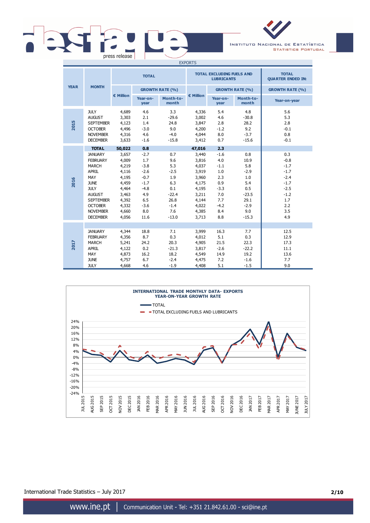# press release

INSTITUTO NACIONAL DE ESTATÍSTICA **STATISTICS PORTUGAL** 

| <b>EXPORTS</b> |                                                                                                                                                                                                     |                                                                                                          |                                                                                                        |                                                                                                 |                                                                                                          |                                                                                              |                                                                                                  |                                                                                                       |
|----------------|-----------------------------------------------------------------------------------------------------------------------------------------------------------------------------------------------------|----------------------------------------------------------------------------------------------------------|--------------------------------------------------------------------------------------------------------|-------------------------------------------------------------------------------------------------|----------------------------------------------------------------------------------------------------------|----------------------------------------------------------------------------------------------|--------------------------------------------------------------------------------------------------|-------------------------------------------------------------------------------------------------------|
|                |                                                                                                                                                                                                     |                                                                                                          | <b>TOTAL</b>                                                                                           |                                                                                                 |                                                                                                          | <b>TOTAL EXCLUDING FUELS AND</b><br><b>LUBRICANTS</b>                                        |                                                                                                  | <b>TOTAL</b><br><b>QUARTER ENDED IN:</b>                                                              |
| <b>YEAR</b>    | <b>MONTH</b>                                                                                                                                                                                        |                                                                                                          |                                                                                                        | <b>GROWTH RATE (%)</b>                                                                          |                                                                                                          |                                                                                              | <b>GROWTH RATE (%)</b>                                                                           | <b>GROWTH RATE (%)</b>                                                                                |
|                |                                                                                                                                                                                                     | € Million                                                                                                | Year-on-<br>year                                                                                       | Month-to-<br>month                                                                              | € Million                                                                                                | Year-on-<br>year                                                                             | Month-to-<br>month                                                                               | Year-on-year                                                                                          |
| 2015           | <b>JULY</b><br><b>AUGUST</b><br><b>SEPTEMBER</b><br><b>OCTOBER</b><br><b>NOVEMBER</b><br><b>DECEMBER</b>                                                                                            | 4,689<br>3,303<br>4,123<br>4,496<br>4,316<br>3,633                                                       | 4.6<br>2.1<br>1.4<br>$-3.0$<br>4.6<br>$-1.6$                                                           | 3.3<br>$-29.6$<br>24.8<br>9.0<br>$-4.0$<br>$-15.8$                                              | 4,336<br>3,002<br>3,847<br>4,200<br>4,044<br>3,412                                                       | 5.4<br>4.6<br>2.8<br>$-1.2$<br>8.0<br>0.7                                                    | 4.8<br>$-30.8$<br>28.2<br>9.2<br>$-3.7$<br>$-15.6$                                               | 5.6<br>5.3<br>2.8<br>$-0.1$<br>0.8<br>$-0.1$                                                          |
|                | <b>TOTAL</b>                                                                                                                                                                                        | 50,022                                                                                                   | 0.8                                                                                                    |                                                                                                 | 47,016                                                                                                   | 2.3                                                                                          |                                                                                                  |                                                                                                       |
| 2016           | <b>JANUARY</b><br><b>FEBRUARY</b><br><b>MARCH</b><br><b>APRIL</b><br>MAY<br><b>JUNE</b><br><b>JULY</b><br><b>AUGUST</b><br><b>SEPTEMBER</b><br><b>OCTOBER</b><br><b>NOVEMBER</b><br><b>DECEMBER</b> | 3,657<br>4,009<br>4,219<br>4,116<br>4,195<br>4,459<br>4,464<br>3,463<br>4,392<br>4,332<br>4,660<br>4,056 | $-2.7$<br>1.7<br>$-3.8$<br>$-2.6$<br>$-0.7$<br>$-1.7$<br>$-4.8$<br>4.9<br>6.5<br>$-3.6$<br>8.0<br>11.6 | 0.7<br>9.6<br>5.3<br>$-2.5$<br>1.9<br>6.3<br>0.1<br>$-22.4$<br>26.8<br>$-1.4$<br>7.6<br>$-13.0$ | 3,440<br>3,816<br>4,037<br>3,919<br>3,960<br>4,175<br>4,195<br>3,211<br>4,144<br>4,022<br>4,385<br>3,713 | $-1.6$<br>4.0<br>$-1.1$<br>1.0<br>2.3<br>0.9<br>$-3.3$<br>7.0<br>7.7<br>$-4.2$<br>8.4<br>8.8 | 0.8<br>10.9<br>5.8<br>$-2.9$<br>1.0<br>5.4<br>0.5<br>$-23.5$<br>29.1<br>$-2.9$<br>9.0<br>$-15.3$ | 0.3<br>$-0.8$<br>$-1.7$<br>$-1.7$<br>$-2.4$<br>$-1.7$<br>$-2.5$<br>$-1.2$<br>1.7<br>2.2<br>3.5<br>4.9 |
| 2017           | <b>JANUARY</b><br><b>FEBRUARY</b><br><b>MARCH</b><br><b>APRIL</b><br>MAY<br><b>JUNE</b><br><b>JULY</b>                                                                                              | 4,344<br>4,356<br>5,241<br>4,122<br>4,873<br>4,757<br>4,668                                              | 18.8<br>8.7<br>24.2<br>0.2<br>16.2<br>6.7<br>4.6                                                       | 7.1<br>0.3<br>20.3<br>$-21.3$<br>18.2<br>$-2.4$<br>$-1.9$                                       | 3,999<br>4,012<br>4,905<br>3,817<br>4,549<br>4,475<br>4,408                                              | 16.3<br>5.1<br>21.5<br>$-2.6$<br>14.9<br>7.2<br>5.1                                          | 7.7<br>0.3<br>22.3<br>$-22.2$<br>19.2<br>$-1.6$<br>$-1.5$                                        | 12.5<br>12.9<br>17.3<br>11.1<br>13.6<br>7.7<br>9.0                                                    |



International Trade Statistics – July 2017 **2/10**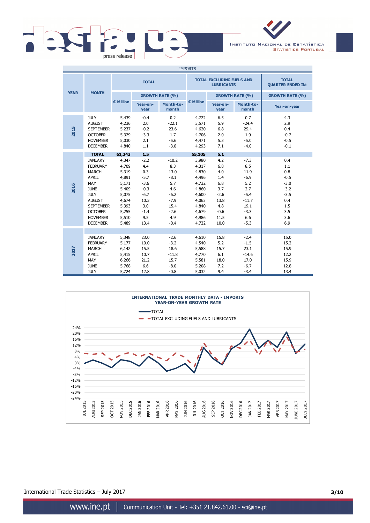



| <b>IMPORTS</b> |                                                                                                                                                                                                              |                                                                                                                    |                                                                                                             |                                                                                                       |                                                                                                                    |                                                                                                  |                                                                                                       |                                                                                              |
|----------------|--------------------------------------------------------------------------------------------------------------------------------------------------------------------------------------------------------------|--------------------------------------------------------------------------------------------------------------------|-------------------------------------------------------------------------------------------------------------|-------------------------------------------------------------------------------------------------------|--------------------------------------------------------------------------------------------------------------------|--------------------------------------------------------------------------------------------------|-------------------------------------------------------------------------------------------------------|----------------------------------------------------------------------------------------------|
|                |                                                                                                                                                                                                              |                                                                                                                    | <b>TOTAL</b>                                                                                                |                                                                                                       |                                                                                                                    | <b>TOTAL EXCLUDING FUELS AND</b><br><b>LUBRICANTS</b>                                            |                                                                                                       | <b>TOTAL</b><br><b>QUARTER ENDED IN:</b>                                                     |
| <b>YEAR</b>    | <b>MONTH</b>                                                                                                                                                                                                 |                                                                                                                    |                                                                                                             | <b>GROWTH RATE (%)</b>                                                                                |                                                                                                                    |                                                                                                  | <b>GROWTH RATE (%)</b>                                                                                | <b>GROWTH RATE (%)</b>                                                                       |
|                |                                                                                                                                                                                                              | € Million                                                                                                          | Year-on-<br>year                                                                                            | Month-to-<br>month                                                                                    | € Million                                                                                                          | Year-on-<br>year                                                                                 | Month-to-<br>month                                                                                    | Year-on-year                                                                                 |
| 2015           | <b>JULY</b><br><b>AUGUST</b><br><b>SEPTEMBER</b><br><b>OCTOBER</b><br><b>NOVEMBER</b><br><b>DECEMBER</b>                                                                                                     | 5,439<br>4,236<br>5,237<br>5,329<br>5,030<br>4,840                                                                 | $-0.4$<br>2.0<br>$-0.2$<br>$-3.3$<br>2.1<br>1.1                                                             | 0.2<br>$-22.1$<br>23.6<br>1.7<br>$-5.6$<br>$-3.8$                                                     | 4,722<br>3,571<br>4,620<br>4,706<br>4,471<br>4,293                                                                 | 6.5<br>5.9<br>6.8<br>2.0<br>5.3<br>7.1                                                           | 0.7<br>$-24.4$<br>29.4<br>1.9<br>$-5.0$<br>$-4.0$                                                     | 4.3<br>2.9<br>0.4<br>$-0.7$<br>$-0.5$<br>$-0.1$                                              |
| 2016           | <b>TOTAL</b><br><b>JANUARY</b><br><b>FEBRUARY</b><br><b>MARCH</b><br>APRIL<br>MAY<br><b>JUNE</b><br><b>JULY</b><br><b>AUGUST</b><br><b>SEPTEMBER</b><br><b>OCTOBER</b><br><b>NOVEMBER</b><br><b>DECEMBER</b> | 61,243<br>4,347<br>4,709<br>5,319<br>4,891<br>5,171<br>5,409<br>5,075<br>4,674<br>5,393<br>5,255<br>5,510<br>5,489 | 1.5<br>$-2.2$<br>4.4<br>0.3<br>$-5.7$<br>$-3.6$<br>$-0.3$<br>$-6.7$<br>10.3<br>3.0<br>$-1.4$<br>9.5<br>13.4 | $-10.2$<br>8.3<br>13.0<br>$-8.1$<br>5.7<br>4.6<br>$-6.2$<br>$-7.9$<br>15.4<br>$-2.6$<br>4.9<br>$-0.4$ | 55,105<br>3,980<br>4,317<br>4,830<br>4,496<br>4,732<br>4,860<br>4,600<br>4,063<br>4,840<br>4,679<br>4,986<br>4,722 | 5.1<br>4.2<br>6.8<br>4.0<br>1.4<br>6.8<br>3.7<br>$-2.6$<br>13.8<br>4.8<br>$-0.6$<br>11.5<br>10.0 | $-7.3$<br>8.5<br>11.9<br>$-6.9$<br>5.2<br>2.7<br>$-5.4$<br>$-11.7$<br>19.1<br>$-3.3$<br>6.6<br>$-5.3$ | 0.4<br>1.1<br>0.8<br>$-0.5$<br>$-3.0$<br>$-3.2$<br>$-3.5$<br>0.4<br>1.5<br>3.5<br>3.6<br>6.9 |
| 2017           | <b>JANUARY</b><br><b>FEBRUARY</b><br><b>MARCH</b><br>APRIL<br>MAY<br><b>JUNE</b><br><b>JULY</b>                                                                                                              | 5,348<br>5,177<br>6,142<br>5,415<br>6,266<br>5,768<br>5,724                                                        | 23.0<br>10.0<br>15.5<br>10.7<br>21.2<br>6.6<br>12.8                                                         | $-2.6$<br>$-3.2$<br>18.6<br>$-11.8$<br>15.7<br>$-8.0$<br>$-0.8$                                       | 4,610<br>4,540<br>5,588<br>4,770<br>5,581<br>5,208<br>5,032                                                        | 15.8<br>5.2<br>15.7<br>6.1<br>18.0<br>7.2<br>9.4                                                 | $-2.4$<br>$-1.5$<br>23.1<br>$-14.6$<br>17.0<br>$-6.7$<br>$-3.4$                                       | 15.0<br>15.2<br>15.9<br>12.2<br>15.9<br>12.8<br>13.4                                         |



International Trade Statistics – July 2017 **3/10**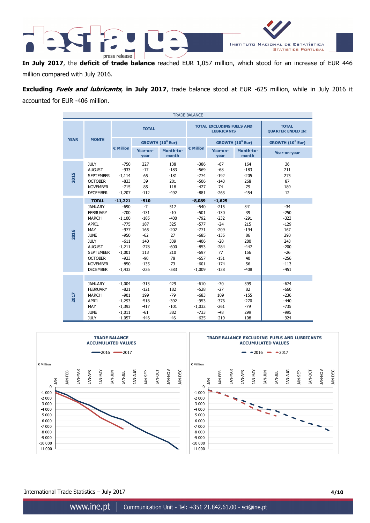

**In July 2017**, the **deficit of trade balance** reached EUR 1,057 million, which stood for an increase of EUR 446 million compared with July 2016.

**Excluding Fuels and lubricants**, **in July 2017**, trade balance stood at EUR -625 million, while in July 2016 it accounted for EUR -406 million.

| <b>TRADE BALANCE</b> |                                                                                                                                                                                                     |                                                                                                                              |                                                                                                      |                                                                                             |                                                                                                                        |                                                                                                                |                                                                                          |                                                                                                           |
|----------------------|-----------------------------------------------------------------------------------------------------------------------------------------------------------------------------------------------------|------------------------------------------------------------------------------------------------------------------------------|------------------------------------------------------------------------------------------------------|---------------------------------------------------------------------------------------------|------------------------------------------------------------------------------------------------------------------------|----------------------------------------------------------------------------------------------------------------|------------------------------------------------------------------------------------------|-----------------------------------------------------------------------------------------------------------|
|                      |                                                                                                                                                                                                     | <b>TOTAL</b>                                                                                                                 |                                                                                                      |                                                                                             | <b>TOTAL EXCLUDING FUELS AND</b><br><b>LUBRICANTS</b>                                                                  | <b>TOTAL</b><br><b>QUARTER ENDED IN:</b>                                                                       |                                                                                          |                                                                                                           |
| <b>YEAR</b>          | <b>MONTH</b>                                                                                                                                                                                        |                                                                                                                              |                                                                                                      | GROWTH (10 <sup>6</sup> Eur)                                                                |                                                                                                                        |                                                                                                                | GROWTH (10 <sup>6</sup> Eur)                                                             | GROWTH (10 <sup>6</sup> Eur)                                                                              |
|                      |                                                                                                                                                                                                     | € Million                                                                                                                    | Year-on-<br>year                                                                                     | Month-to-<br>month                                                                          | € Million                                                                                                              | Year-on-<br>year                                                                                               | Month-to-<br>month                                                                       | Year-on-year                                                                                              |
| 2015                 | <b>JULY</b><br><b>AUGUST</b><br><b>SEPTEMBER</b><br><b>OCTOBER</b><br><b>NOVEMBER</b><br><b>DECEMBER</b>                                                                                            | $-750$<br>$-933$<br>$-1,114$<br>$-833$<br>$-715$<br>$-1,207$                                                                 | 227<br>$-17$<br>65<br>39<br>85<br>$-112$                                                             | 138<br>$-183$<br>$-181$<br>281<br>118<br>$-492$                                             | $-386$<br>$-569$<br>$-774$<br>$-506$<br>$-427$<br>$-881$                                                               | $-67$<br>$-68$<br>$-192$<br>$-143$<br>74<br>$-263$                                                             | 164<br>$-183$<br>$-205$<br>268<br>79<br>$-454$                                           | 36<br>211<br>275<br>87<br>189<br>12                                                                       |
|                      | <b>TOTAL</b>                                                                                                                                                                                        | $-11,221$                                                                                                                    | $-510$                                                                                               |                                                                                             | $-8,089$                                                                                                               | $-1,625$                                                                                                       |                                                                                          |                                                                                                           |
| 2016                 | <b>JANUARY</b><br><b>FEBRUARY</b><br><b>MARCH</b><br><b>APRIL</b><br>MAY<br><b>JUNE</b><br><b>JULY</b><br><b>AUGUST</b><br><b>SEPTEMBER</b><br><b>OCTOBER</b><br><b>NOVEMBER</b><br><b>DECEMBER</b> | $-690$<br>$-700$<br>$-1,100$<br>$-775$<br>$-977$<br>$-950$<br>$-611$<br>$-1,211$<br>$-1,001$<br>$-923$<br>$-850$<br>$-1,433$ | $-7$<br>$-131$<br>$-185$<br>187<br>165<br>$-62$<br>140<br>$-278$<br>113<br>$-90$<br>$-135$<br>$-226$ | 517<br>$-10$<br>$-400$<br>325<br>$-202$<br>27<br>339<br>$-600$<br>210<br>78<br>73<br>$-583$ | $-540$<br>$-501$<br>$-792$<br>$-577$<br>$-771$<br>$-685$<br>$-406$<br>$-853$<br>$-697$<br>$-657$<br>$-601$<br>$-1,009$ | $-215$<br>$-130$<br>$-232$<br>$-24$<br>$-209$<br>$-135$<br>$-20$<br>$-284$<br>77<br>$-151$<br>$-174$<br>$-128$ | 341<br>39<br>$-291$<br>215<br>$-194$<br>86<br>280<br>$-447$<br>156<br>40<br>56<br>$-408$ | $-34$<br>$-250$<br>$-323$<br>$-129$<br>167<br>290<br>243<br>$-200$<br>$-26$<br>$-256$<br>$-113$<br>$-451$ |
| 2017                 | <b>JANUARY</b><br><b>FEBRUARY</b><br><b>MARCH</b><br><b>APRIL</b><br>MAY<br><b>JUNE</b><br><b>JULY</b>                                                                                              | $-1,004$<br>$-821$<br>$-901$<br>$-1,293$<br>$-1,393$<br>$-1,011$<br>$-1,057$                                                 | $-313$<br>$-121$<br>199<br>$-518$<br>$-417$<br>$-61$<br>$-446$                                       | 429<br>182<br>$-79$<br>$-392$<br>$-101$<br>382<br>$-46$                                     | $-610$<br>$-528$<br>$-683$<br>$-953$<br>$-1,032$<br>$-733$<br>$-625$                                                   | $-70$<br>$-27$<br>109<br>$-376$<br>$-261$<br>$-48$<br>$-219$                                                   | 399<br>82<br>$-155$<br>$-270$<br>$-79$<br>299<br>108                                     | $-674$<br>$-660$<br>$-236$<br>$-440$<br>$-735$<br>$-995$<br>$-924$                                        |



International Trade Statistics – July 2017 **4/10**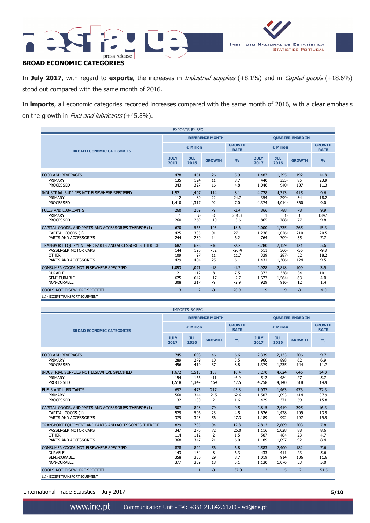

In **July 2017**, with regard to **exports**, the increases in Industrial supplies (+8.1%) and in Capital goods (+18.6%) stood out compared with the same month of 2016.

In **imports**, all economic categories recorded increases compared with the same month of 2016, with a clear emphasis on the growth in Fuel and lubricants (+45.8%).

| <b>EXPORTS BY BEC</b>                                 |                |                    |                        |                              |                          |                    |               |                              |
|-------------------------------------------------------|----------------|--------------------|------------------------|------------------------------|--------------------------|--------------------|---------------|------------------------------|
|                                                       |                |                    | <b>REFERENCE MONTH</b> |                              | <b>QUARTER ENDED IN:</b> |                    |               |                              |
| <b>BROAD ECONOMIC CATEGORIES</b>                      | € Million      |                    |                        | <b>GROWTH</b><br><b>RATE</b> | € Million                |                    |               | <b>GROWTH</b><br><b>RATE</b> |
|                                                       |                | <b>JUL</b><br>2016 | <b>GROWTH</b>          | $\frac{0}{0}$                | <b>JULY</b><br>2017      | <b>JUL</b><br>2016 | <b>GROWTH</b> | $\frac{9}{6}$                |
| <b>FOOD AND BEVERAGES</b>                             | 478            | 451                | 26                     | 5.9                          | 1,487                    | 1,295              | 192           | 14.8                         |
| PRIMARY                                               | 135            | 124                | 11                     | 8.7                          | 440                      | 355                | 85            | 23.9                         |
| <b>PROCESSED</b>                                      | 343            | 327                | 16                     | 4.8                          |                          | 940                | 107           | 11.3                         |
|                                                       |                |                    |                        |                              | 1,046                    |                    |               |                              |
| INDUSTRIAL SUPPLIES NOT ELSEWHERE SPECIFIED           | 1,521          | 1,407              | 114                    | 8.1                          | 4,728                    | 4,313              | 415           | 9.6                          |
| PRIMARY                                               | 112            | 89                 | 22                     | 24.7                         | 354                      | 299                | 54            | 18.2                         |
| <b>PROCESSED</b>                                      | 1,410          | 1,317              | 92                     | 7.0                          | 4,374                    | 4,014              | 360           | 9.0                          |
| <b>FUELS AND LUBRICANTS</b>                           | 260            | 269                | $-9$                   | $-3.4$                       | 866                      | 788                | 78            | 9.9                          |
| PRIMARY                                               | 1              | ə                  | $\Theta$               | 201.3                        | 1                        | $1^{\circ}$        | 1             | 134.1                        |
| <b>PROCESSED</b>                                      | 260            | 269                | $-10$                  | $-3.6$                       | 865                      | 788                | 77            | 9.8                          |
| CAPITAL GOODS, AND PARTS AND ACCESSORIES THEREOF (1)  | 670            | 565                | 105                    | 18.6                         | 2,000                    | 1,735              | 265           | 15.3                         |
| CAPITAL GOODS (1)                                     | 425            | 335                | 91                     | 27.1                         | 1,236                    | 1,026              | 210           | 20.5                         |
| PARTS AND ACCESSORIES                                 | 244            | 230                | 14                     | 6.2                          | 764                      | 709                | 55            | 7.7                          |
| TRANSPORT EQUIPMENT AND PARTS AND ACCESSORIES THEREOF | 682            | 698                | $-16$                  | $-2.2$                       | 2,280                    | 2,159              | 121           | 5.6                          |
| PASSENGER MOTOR CARS                                  | 144            | 196                | $-52$                  | $-26.4$                      | 511                      | 566                | $-55$         | $-9.8$                       |
| <b>OTHER</b>                                          | 109            | 97                 | 11                     | 11.7                         | 339                      | 287                | 52            | 18.2                         |
| PARTS AND ACCESSORIES                                 | 429            | 404                | 25                     | 6.1                          | 1,431                    | 1,306              | 124           | 9.5                          |
| CONSUMER GOODS NOT ELSEWHERE SPECIFIED                | 1.053          | 1.071              | $-18$                  | $-1.7$                       | 2,928                    | 2,818              | 109           | 3.9                          |
| <b>DURABLE</b>                                        | 121            | 112                | 8                      | 7.5                          | 372                      | 338                | 34            | 10.1                         |
| SEMI-DURABLE                                          | 625            | 642                | $-17$                  | $-2.7$                       | 1,627                    | 1,564              | 63            | 4.0                          |
| <b>NON-DURABLE</b>                                    | 308            | 317                | $-9$                   | $-2.9$                       | 929                      | 916                | 12            | 1.4                          |
| <b>GOODS NOT ELSEWHERE SPECIFIED</b>                  | $\overline{3}$ | $\overline{2}$     | $\theta$               | 20.9                         | 9                        | 9                  | $\theta$      | $-4.0$                       |
| (1) - EXCEPT TRANSPORT EQUIPMENT                      |                |                    |                        |                              |                          |                    |               |                              |

| <b>IMPORTS BY BEC</b>                                 |                     |                    |                        |                              |                          |                    |               |                              |
|-------------------------------------------------------|---------------------|--------------------|------------------------|------------------------------|--------------------------|--------------------|---------------|------------------------------|
|                                                       |                     |                    | <b>REFERENCE MONTH</b> |                              | <b>OUARTER ENDED IN:</b> |                    |               |                              |
| <b>BROAD ECONOMIC CATEGORIES</b>                      |                     | € Million          |                        | <b>GROWTH</b><br><b>RATE</b> | € Million                |                    |               | <b>GROWTH</b><br><b>RATE</b> |
|                                                       | <b>JULY</b><br>2017 | <b>JUL</b><br>2016 | <b>GROWTH</b>          | $\frac{0}{0}$                | <b>JULY</b><br>2017      | <b>JUL</b><br>2016 | <b>GROWTH</b> | $\frac{0}{0}$                |
| <b>FOOD AND BEVERAGES</b>                             | 745                 | 698                | 46                     | 6.6                          | 2,339                    | 2.133              | 206           | 9.7                          |
| PRIMARY                                               | 289                 | 279                | 10                     | 3.5                          | 960                      | 898                | 62            | 6.9                          |
| <b>PROCESSED</b>                                      | 456                 | 419                | 37                     | 8.8                          | 1,379                    | 1,235              | 144           | 11.7                         |
|                                                       |                     |                    |                        |                              |                          |                    |               |                              |
| INDUSTRIAL SUPPLIES NOT ELSEWHERE SPECIFIED           | 1.672               | 1,515              | 158                    | 10.4                         | 5,270                    | 4.624              | 646           | 14.0                         |
| PRIMARY                                               | 154                 | 166                | $-11$                  | $-6.9$                       | 512                      | 484                | 27            | 5.7                          |
| <b>PROCESSED</b>                                      | 1,518               | 1,349              | 169                    | 12.5                         | 4,758                    | 4,140              | 618           | 14.9                         |
| <b>FUELS AND LUBRICANTS</b>                           | 692                 | 475                | 217                    | 45.8                         | 1,937                    | 1.463              | 473           | 32.3                         |
| PRIMARY                                               | 560                 | 344                | 215                    | 62.6                         | 1,507                    | 1,093              | 414           | 37.9                         |
| <b>PROCESSED</b>                                      | 132                 | 130                | $\overline{2}$         | 1.6                          | 429                      | 371                | 59            | 15.8                         |
| CAPITAL GOODS, AND PARTS AND ACCESSORIES THEREOF (1)  | 907                 | 828                | 79                     | 9.5                          | 2.815                    | 2,419              | 395           | 16.3                         |
| CAPITAL GOODS (1)                                     | 529                 | 506                | 23                     | 4.5                          | 1,626                    | 1,428              | 199           | 13.9                         |
| PARTS AND ACCESSORIES                                 | 379                 | 323                | 56                     | 17.3                         | 1,189                    | 992                | 197           | 19.9                         |
| TRANSPORT EQUIPMENT AND PARTS AND ACCESSORIES THEREOF | 829                 | 735                | 94                     | 12.8                         | 2,813                    | 2,609              | 203           | 7.8                          |
| PASSENGER MOTOR CARS                                  | 347                 | 276                | 72                     | 26.0                         | 1,116                    | 1,028              | 88            | 8.6                          |
| <b>OTHER</b>                                          | 114                 | 112                | $\overline{2}$         | 1.5                          | 507                      | 484                | 23            | 4.7                          |
| PARTS AND ACCESSORIES                                 | 368                 | 347                | 21                     | 6.0                          | 1,189                    | 1,097              | 92            | 8.4                          |
| CONSUMER GOODS NOT ELSEWHERE SPECIFIED                | 878                 | 822                | 56                     | 6.8                          | 2,583                    | 2,400              | 182           | 7.6                          |
| <b>DURABLE</b>                                        | 143                 | 134                | 8                      | 6.3                          | 433                      | 411                | 23            | 5.6                          |
| SEMI-DURABLE                                          | 358                 | 330                | 29                     | 8.7                          | 1,019                    | 914                | 106           | 11.6                         |
| NON-DURABLE                                           | 377                 | 359                | 18                     | 5.1                          | 1,130                    | 1,076              | 53            | 5.0                          |
| <b>GOODS NOT ELSEWHERE SPECIFIED</b>                  | $\mathbf{1}$        | $\mathbf{1}$       | $\theta$               | $-37.0$                      | $\overline{2}$           | 5                  | $-2$          | $-51.5$                      |
| (1) - EXCEPT TRANSPORT EQUIPMENT                      |                     |                    |                        |                              |                          |                    |               |                              |

International Trade Statistics – July 2017 **5/10**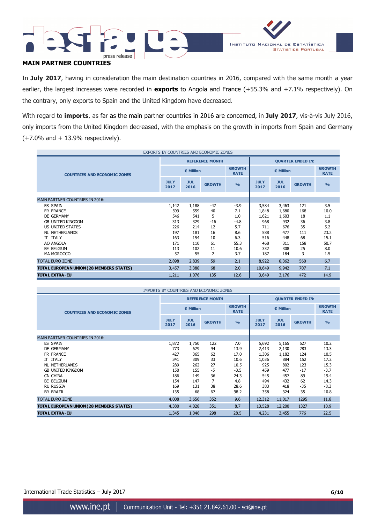

# **MAIN PARTNER COUNTRIES**

In **July 2017**, having in consideration the main destination countries in 2016, compared with the same month a year earlier, the largest increases were recorded in **exports** to Angola and France (+55.3% and +7.1% respectively). On the contrary, only exports to Spain and the United Kingdom have decreased.

With regard to **imports**, as far as the main partner countries in 2016 are concerned, in **July 2017**, vis-à-vis July 2016, only imports from the United Kingdom decreased, with the emphasis on the growth in imports from Spain and Germany  $(+7.0\%$  and  $+13.9\%$  respectively).

| EXPORTS BY COUNTRIES AND ECONOMIC ZONES  |                     |                    |                        |                              |                          |                    |               |                              |
|------------------------------------------|---------------------|--------------------|------------------------|------------------------------|--------------------------|--------------------|---------------|------------------------------|
|                                          |                     |                    | <b>REFERENCE MONTH</b> |                              | <b>QUARTER ENDED IN:</b> |                    |               |                              |
| <b>COUNTRIES AND ECONOMIC ZONES</b>      |                     | € Million          |                        | <b>GROWTH</b><br><b>RATE</b> |                          | € Million          |               | <b>GROWTH</b><br><b>RATE</b> |
|                                          | <b>JULY</b><br>2017 | <b>JUL</b><br>2016 | <b>GROWTH</b>          | O <sub>0</sub>               | <b>JULY</b><br>2017      | <b>JUL</b><br>2016 | <b>GROWTH</b> | $\frac{0}{0}$                |
|                                          |                     |                    |                        |                              |                          |                    |               |                              |
| <b>MAIN PARTNER COUNTRIES IN 2016:</b>   |                     |                    |                        |                              |                          |                    |               |                              |
| ES SPAIN                                 | 1,142               | 1,188              | $-47$                  | $-3.9$                       | 3,584                    | 3,463              | 121           | 3.5                          |
| FR FRANCE                                | 599                 | 559                | 40                     | 7.1                          | 1,848                    | 1,680              | 168           | 10.0                         |
| DE GERMANY                               | 546                 | 541                | 5                      | 1.0                          | 1,621                    | 1,603              | 18            | 1.1                          |
| <b>GB UNITED KINGDOM</b>                 | 313                 | 329                | $-16$                  | $-4.8$                       | 968                      | 932                | 36            | 3.8                          |
| <b>US UNITED STATES</b>                  | 226                 | 214                | 12                     | 5.7                          | 711                      | 676                | 35            | 5.2                          |
| <b>NL NETHERLANDS</b>                    | 197                 | 181                | 16                     | 8.6                          | 588                      | 477                | 111           | 23.2                         |
| IT ITALY                                 | 163                 | 154                | 10                     | 6.3                          | 516                      | 448                | 68            | 15.1                         |
| AO ANGOLA                                | 171                 | 110                | 61                     | 55.3                         | 468                      | 311                | 158           | 50.7                         |
| BE BELGIUM                               | 113                 | 102                | 11                     | 10.6                         | 332                      | 308                | 25            | 8.0                          |
| MA MOROCCO                               | 57                  | 55                 | 2                      | 3.7                          | 187                      | 184                | 3             | 1.5                          |
| <b>TOTAL EURO ZONE</b>                   | 2,898               | 2,839              | 59                     | 2.1                          | 8,922                    | 8,362              | 560           | 6.7                          |
| TOTAL EUROPEAN UNION (28 MEMBERS STATES) | 3,457               | 3,388              | 68                     | 2.0                          | 10,649                   | 9,942              | 707           | 7.1                          |
| <b>TOTAL EXTRA-EU</b>                    | 1,211               | 1,076              | 135                    | 12.6                         | 3,649                    | 3,176              | 472           | 14.9                         |

| IMPORTS BY COUNTRIES AND ECONOMIC ZONES  |                     |                    |                        |                              |                          |                    |               |                              |
|------------------------------------------|---------------------|--------------------|------------------------|------------------------------|--------------------------|--------------------|---------------|------------------------------|
|                                          |                     |                    | <b>REFERENCE MONTH</b> |                              | <b>QUARTER ENDED IN:</b> |                    |               |                              |
| <b>COUNTRIES AND ECONOMIC ZONES</b>      |                     | € Million          |                        | <b>GROWTH</b><br><b>RATE</b> |                          | € Million          |               | <b>GROWTH</b><br><b>RATE</b> |
|                                          | <b>JULY</b><br>2017 | <b>JUL</b><br>2016 | <b>GROWTH</b>          | $\frac{0}{0}$                | <b>JULY</b><br>2017      | <b>JUL</b><br>2016 | <b>GROWTH</b> | $\frac{9}{6}$                |
| <b>MAIN PARTNER COUNTRIES IN 2016:</b>   |                     |                    |                        |                              |                          |                    |               |                              |
| <b>ES SPAIN</b>                          | 1,872               | 1,750              | 122                    | 7.0                          | 5,692                    | 5,165              | 527           | 10.2                         |
| DE GERMANY                               | 773                 | 679                | 94                     | 13.9                         | 2,413                    | 2,130              | 283           | 13.3                         |
| FR FRANCE                                | 427                 | 365                | 62                     | 17.0                         | 1,306                    | 1,182              | 124           | 10.5                         |
| IT ITALY                                 | 341                 | 309                | 33                     | 10.6                         | 1,036                    | 884                | 152           | 17.2                         |
| NL NETHERLANDS                           | 289                 | 262                | 27                     | 10.5                         | 925                      | 802                | 123           | 15.3                         |
| <b>GB UNITED KINGDOM</b>                 | 150                 | 155                | $-5$                   | $-3.5$                       | 459                      | 477                | $-17$         | $-3.7$                       |
| CN CHINA                                 | 186                 | 149                | 36                     | 24.3                         | 545                      | 457                | 89            | 19.4                         |
| BE BELGIUM                               | 154                 | 147                | 7                      | 4.8                          | 494                      | 432                | 62            | 14.3                         |
| <b>RU RUSSIA</b>                         | 169                 | 131                | 38                     | 28.6                         | 383                      | 418                | $-35$         | $-8.3$                       |
| <b>BR BRAZIL</b>                         | 135                 | 68                 | 67                     | 98.2                         | 358                      | 324                | 35            | 10.8                         |
| <b>TOTAL EURO ZONE</b>                   | 4,008               | 3,656              | 352                    | 9.6                          | 12,312                   | 11,017             | 1295          | 11.8                         |
| TOTAL EUROPEAN UNION (28 MEMBERS STATES) | 4,380               | 4,028              | 351                    | 8.7                          | 13,528                   | 12,200             | 1327          | 10.9                         |
| <b>TOTAL EXTRA-EU</b>                    | 1,345               | 1,046              | 298                    | 28.5                         | 4,231                    | 3,455              | 776           | 22.5                         |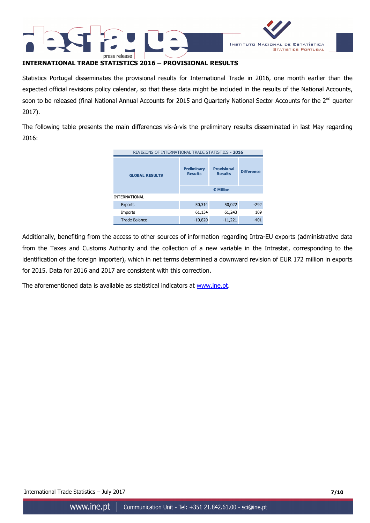



# **INTERNATIONAL TRADE STATISTICS 2016 – PROVISIONAL RESULTS**

Statistics Portugal disseminates the provisional results for International Trade in 2016, one month earlier than the expected official revisions policy calendar, so that these data might be included in the results of the National Accounts, soon to be released (final National Annual Accounts for 2015 and Quarterly National Sector Accounts for the 2<sup>nd</sup> quarter 2017).

The following table presents the main differences vis-à-vis the preliminary results disseminated in last May regarding 2016:

| REVISIONS OF INTERNATIONAL TRADE STATISTICS - 2016 |                                      |                                      |                   |  |  |
|----------------------------------------------------|--------------------------------------|--------------------------------------|-------------------|--|--|
| <b>GLOBAL RESULTS</b>                              | <b>Preliminary</b><br><b>Results</b> | <b>Provisional</b><br><b>Results</b> | <b>Difference</b> |  |  |
|                                                    |                                      | € Million                            |                   |  |  |
| <b>INTERNATIONAL</b>                               |                                      |                                      |                   |  |  |
| <b>Exports</b>                                     | 50,314                               | 50,022                               | $-292$            |  |  |
| <b>Imports</b>                                     | 61,134                               | 61,243                               | 109               |  |  |
| <b>Trade Balance</b>                               | $-10,820$                            | $-11,221$                            | $-401$            |  |  |

Additionally, benefiting from the access to other sources of information regarding Intra-EU exports (administrative data from the Taxes and Customs Authority and the collection of a new variable in the Intrastat, corresponding to the identification of the foreign importer), which in net terms determined a downward revision of EUR 172 million in exports for 2015. Data for 2016 and 2017 are consistent with this correction.

The aforementioned data is available as statistical indicators at www.ine.pt.

International Trade Statistics – July 2017 **7/10**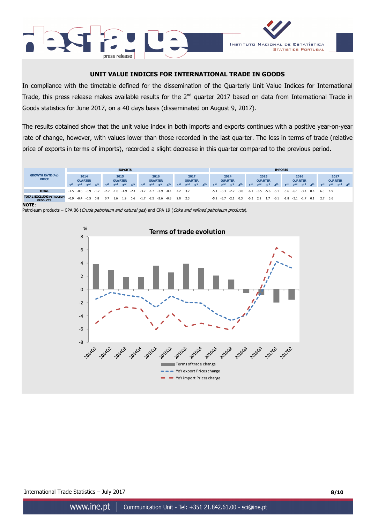



# **UNIT VALUE INDICES FOR INTERNATIONAL TRADE IN GOODS**

In compliance with the timetable defined for the dissemination of the Quarterly Unit Value Indices for International Trade, this press release makes available results for the 2<sup>nd</sup> quarter 2017 based on data from International Trade in Goods statistics for June 2017, on a 40 days basis (disseminated on August 9, 2017).

The results obtained show that the unit value index in both imports and exports continues with a positive year-on-year rate of change, however, with values lower than those recorded in the last quarter. The loss in terms of trade (relative price of exports in terms of imports), recorded a slight decrease in this quarter compared to the previous period.



**NOTE**:

Petroleum products – CPA 06 (Crude petroleum and natural gas) and CPA 19 (Coke and refined petroleum products).

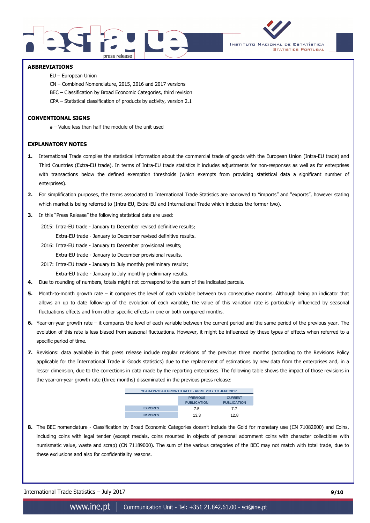



### **ABBREVIATIONS**

- EU European Union
- CN Combined Nomenclature, 2015, 2016 and 2017 versions
- BEC Classification by Broad Economic Categories, third revision
- CPA Statistical classification of products by activity, version 2.1

### **CONVENTIONAL SIGNS**

ә – Value less than half the module of the unit used

### **EXPLANATORY NOTES**

- **1.** International Trade compiles the statistical information about the commercial trade of goods with the European Union (Intra-EU trade) and Third Countries (Extra-EU trade). In terms of Intra-EU trade statistics it includes adjustments for non-responses as well as for enterprises with transactions below the defined exemption thresholds (which exempts from providing statistical data a significant number of enterprises).
- **2.** For simplification purposes, the terms associated to International Trade Statistics are narrowed to "imports" and "exports", however stating which market is being referred to (Intra-EU, Extra-EU and International Trade which includes the former two).
- **3.** In this "Press Release" the following statistical data are used:

2015: Intra-EU trade - January to December revised definitive results; Extra-EU trade - January to December revised definitive results.

2016: Intra-EU trade - January to December provisional results;

Extra-EU trade - January to December provisional results.

2017: Intra-EU trade - January to July monthly preliminary results;

Extra-EU trade - January to July monthly preliminary results.

- **4.** Due to rounding of numbers, totals might not correspond to the sum of the indicated parcels.
- **5.** Month-to-month growth rate it compares the level of each variable between two consecutive months. Although being an indicator that allows an up to date follow-up of the evolution of each variable, the value of this variation rate is particularly influenced by seasonal fluctuations effects and from other specific effects in one or both compared months.
- **6.** Year-on-year growth rate it compares the level of each variable between the current period and the same period of the previous year. The evolution of this rate is less biased from seasonal fluctuations. However, it might be influenced by these types of effects when referred to a specific period of time.
- **7.** Revisions: data available in this press release include regular revisions of the previous three months (according to the Revisions Policy applicable for the International Trade in Goods statistics) due to the replacement of estimations by new data from the enterprises and, in a lesser dimension, due to the corrections in data made by the reporting enterprises. The following table shows the impact of those revisions in the year-on-year growth rate (three months) disseminated in the previous press release:

| YEAR-ON-YEAR GROWTH RATE - APRIL 2017 TO JUNE 2017 |                                       |                                      |  |  |  |  |  |
|----------------------------------------------------|---------------------------------------|--------------------------------------|--|--|--|--|--|
|                                                    | <b>PREVIOUS</b><br><b>PUBLICATION</b> | <b>CURRENT</b><br><b>PUBLICATION</b> |  |  |  |  |  |
| <b>EXPORTS</b>                                     | 75                                    | 77                                   |  |  |  |  |  |
| <b>IMPORTS</b>                                     | 13.3                                  | 12R                                  |  |  |  |  |  |

**8.** The BEC nomenclature - Classification by Broad Economic Categories doesn't include the Gold for monetary use (CN 71082000) and Coins, including coins with legal tender (except medals, coins mounted in objects of personal adornment coins with character collectibles with numismatic value, waste and scrap) (CN 71189000). The sum of the various categories of the BEC may not match with total trade, due to these exclusions and also for confidentiality reasons.

International Trade Statistics – July 2017 **9/10**